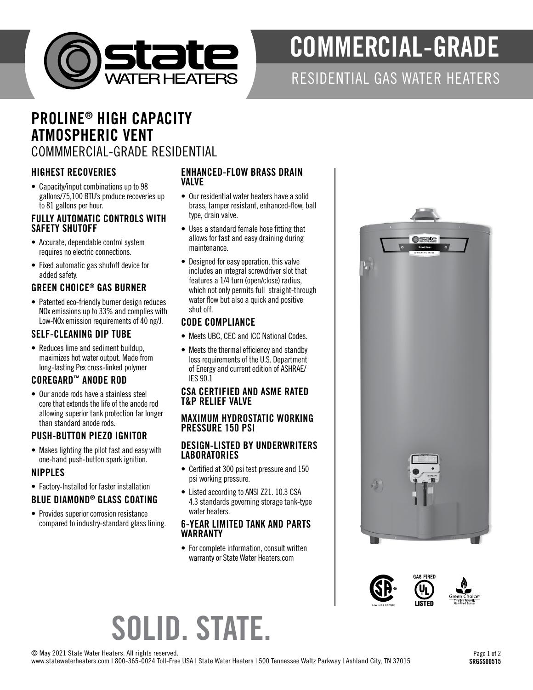

# COMMERCIAL-GRADE

## RESIDENTIAL GAS WATER HEATERS

## PROLINE ® HIGH CAPACITY ATMOSPHERIC VENT COMMMERCIAL-GRADE RESIDENTIAL

## HIGHEST RECOVERIES

• Capacity/input combinations up to 98 gallons/75,100 BTU's produce recoveries up to 81 gallons per hour.

#### FULLY AUTOMATIC CONTROLS WITH SAFETY SHUTOFF

- Accurate, dependable control system requires no electric connections.
- Fixed automatic gas shutoff device for added safety.

## GREEN CHOICE ® GAS BURNER

• Patented eco-friendly burner design reduces NOx emissions up to 33% and complies with Low-NOx emission requirements of 40 ng/J.

## SELF-CLEANING DIP TUBE

• Reduces lime and sediment buildup, maximizes hot water output. Made from long-lasting Pex cross-linked polymer

## COREGARD ™ ANODE ROD

• Our anode rods have a stainless steel core that extends the life of the anode rod allowing superior tank protection far longer than standard anode rods.

## PUSH-BUTTON PIEZO IGNITOR

• Makes lighting the pilot fast and easy with one-hand push-button spark ignition.

## NIPPLES

• Factory-Installed for faster installation

## BLUE DIAMOND ® GLASS COATING

• Provides superior corrosion resistance compared to industry-standard glass lining.

#### ENHANCED-FLOW BRASS DRAIN VALVE

- Our residential water heaters have a solid brass, tamper resistant, enhanced-flow, ball type, drain valve.
- Uses a standard female hose fitting that allows for fast and easy draining during maintenance.
- Designed for easy operation, this valve includes an integral screwdriver slot that features a 1/4 turn (open/close) radius, which not only permits full straight-through water flow but also a quick and positive shut off.

## CODE COMPLIANCE

- Meets UBC, CEC and ICC National Codes. Meets the thermal efficiency and standby
- loss requirements of the U.S. Department of Energy and current edition of ASHRAE/ IES 90.1

## CSA CERTIFIED AND ASME RATED T&P RELIEF VALVE

### MAXIMUM HYDROSTATIC WORKING PRESSURE 150 PSI

## DESIGN-LISTED BY UNDERWRITERS **LABORATORIES**

- Certified at 300 psi test pressure and 150 psi working pressure.
- Listed according to ANSI Z21. 10.3 CSA 4.3 standards governing storage tank-type water heaters.

## 6-YEAR LIMITED TANK AND PARTS WARRANTY

• For complete information, consult written warranty or State Water Heaters.com





# SOLID. STATE.